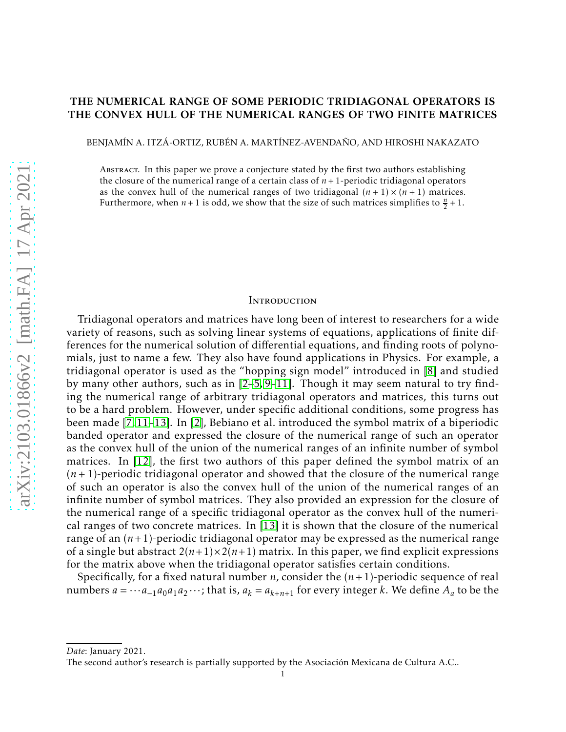# THE NUMERICAL RANGE OF SOME PERIODIC TRIDIAGONAL OPERATORS IS THE CONVEX HULL OF THE NUMERICAL RANGES OF TWO FINITE MATRICES

BENJAMÍN A. ITZÁ-ORTIZ, RUBÉN A. MARTÍNEZ-AVENDAÑO, AND HIROSHI NAKAZATO

Abstract. In this paper we prove a conjecture stated by the first two authors establishing the closure of the numerical range of a certain class of  $n + 1$ -periodic tridiagonal operators as the convex hull of the numerical ranges of two tridiagonal  $(n + 1) \times (n + 1)$  matrices. Furthermore, when  $n + 1$  is odd, we show that the size of such matrices simplifies to  $\frac{n}{2} + 1$ .

## **INTRODUCTION**

Tridiagonal operators and matrices have long been of interest to researchers for a wide variety of reasons, such as solving linear systems of equations, applications of finite differences for the numerical solution of differential equations, and finding roots of polynomials, just to name a few. They also have found applications in Physics. For example, a tridiagonal operator is used as the "hopping sign model" introduced in [\[8\]](#page-15-0) and studied by many other authors, such as in [\[2–](#page-14-0)[5,](#page-15-1) [9–](#page-15-2)[11\]](#page-15-3). Though it may seem natural to try finding the numerical range of arbitrary tridiagonal operators and matrices, this turns out to be a hard problem. However, under specific additional conditions, some progress has been made [\[7,](#page-15-4) [11–](#page-15-3)[13\]](#page-15-5). In [\[2\]](#page-14-0), Bebiano et al. introduced the symbol matrix of a biperiodic banded operator and expressed the closure of the numerical range of such an operator as the convex hull of the union of the numerical ranges of an infinite number of symbol matrices. In [\[12\]](#page-15-6), the first two authors of this paper defined the symbol matrix of an (*n* + 1)-periodic tridiagonal operator and showed that the closure of the numerical range of such an operator is also the convex hull of the union of the numerical ranges of an infinite number of symbol matrices. They also provided an expression for the closure of the numerical range of a specific tridiagonal operator as the convex hull of the numerical ranges of two concrete matrices. In [\[13\]](#page-15-5) it is shown that the closure of the numerical range of an (*n*+1)-periodic tridiagonal operator may be expressed as the numerical range of a single but abstract  $2(n+1) \times 2(n+1)$  matrix. In this paper, we find explicit expressions for the matrix above when the tridiagonal operator satisfies certain conditions.

Specifically, for a fixed natural number *n*, consider the (*n*+ 1)-periodic sequence of real numbers  $a = \cdots a_{-1}a_0a_1a_2\cdots$ ; that is,  $a_k = a_{k+n+1}$  for every integer *k*. We define  $A_a$  to be the

*Date*: January 2021.

The second author's research is partially supported by the Asociacion Mexicana de Cultura A.C.. ´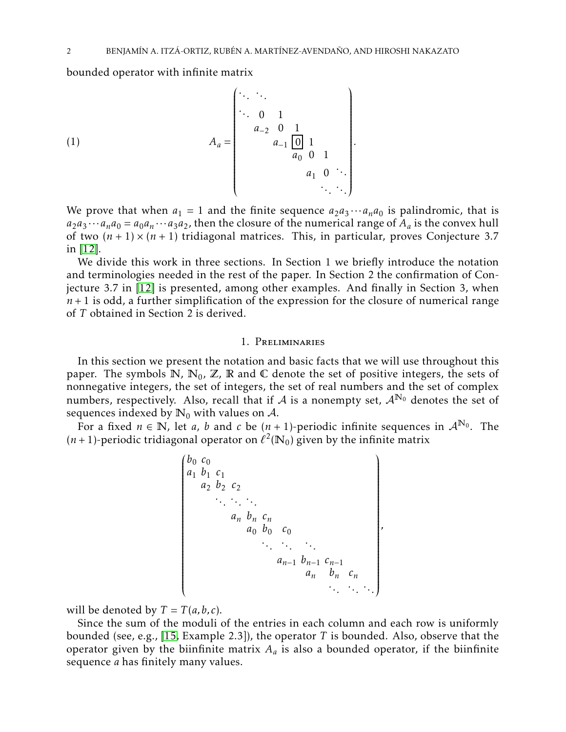bounded operator with infinite matrix

<span id="page-1-0"></span>(1) 
$$
A_{a} = \begin{pmatrix} \cdots & \cdots & & & \\ \ddots & 0 & 1 & & \\ & a_{-2} & 0 & 1 & \\ & & a_{-1} & 0 & 1 \\ & & & a_{0} & 0 & 1 \\ & & & & & a_{1} & 0 \\ & & & & & & \ddots \\ & & & & & & & \ddots \end{pmatrix}.
$$

We prove that when  $a_1 = 1$  and the finite sequence  $a_2a_3 \cdots a_na_0$  is palindromic, that is  $a_2 a_3 \cdots a_n a_0 = a_0 a_n \cdots a_3 a_2$ , then the closure of the numerical range of  $A_a$  is the convex hull of two  $(n + 1) \times (n + 1)$  tridiagonal matrices. This, in particular, proves Conjecture 3.7 in [\[12\]](#page-15-6).

We divide this work in three sections. In Section 1 we briefly introduce the notation and terminologies needed in the rest of the paper. In Section 2 the confirmation of Conjecture 3.7 in [\[12\]](#page-15-6) is presented, among other examples. And finally in Section 3, when  $n+1$  is odd, a further simplification of the expression for the closure of numerical range of *T* obtained in Section 2 is derived.

# 1. Preliminaries

In this section we present the notation and basic facts that we will use throughout this paper. The symbols  $\mathbb{N}$ ,  $\mathbb{N}_0$ ,  $\mathbb{Z}$ ,  $\mathbb{R}$  and  $\mathbb{C}$  denote the set of positive integers, the sets of nonnegative integers, the set of integers, the set of real numbers and the set of complex numbers, respectively. Also, recall that if A is a nonempty set,  $A^{N_0}$  denotes the set of sequences indexed by  $\mathbb{N}_0$  with values on A.

For a fixed  $n \in \mathbb{N}$ , let *a*, *b* and *c* be  $(n + 1)$ -periodic infinite sequences in  $\mathcal{A}^{\mathbb{N}_0}$ . The  $(n+1)$ -periodic tridiagonal operator on  $\ell^2(\mathbb{N}_0)$  given by the infinite matrix

 *b*<sup>0</sup> *c*<sup>0</sup> *a*<sup>1</sup> *b*<sup>1</sup> *c*<sup>1</sup> *a*<sup>2</sup> *b*<sup>2</sup> *c*2 *. . . . . . . . . a<sup>n</sup> b<sup>n</sup> cn a*<sup>0</sup> *b*<sup>0</sup> *c*<sup>0</sup> *. . . . . . . . . an*−<sup>1</sup> *bn*−<sup>1</sup> *cn*−<sup>1</sup> *a<sup>n</sup> b<sup>n</sup> c<sup>n</sup> . . . . . . . . . ,*

will be denoted by  $T = T(a, b, c)$ .

Since the sum of the moduli of the entries in each column and each row is uniformly bounded (see, e.g., [\[15,](#page-15-7) Example 2.3]), the operator *T* is bounded. Also, observe that the operator given by the biinfinite matrix  $A_a$  is also a bounded operator, if the biinfinite sequence *a* has finitely many values.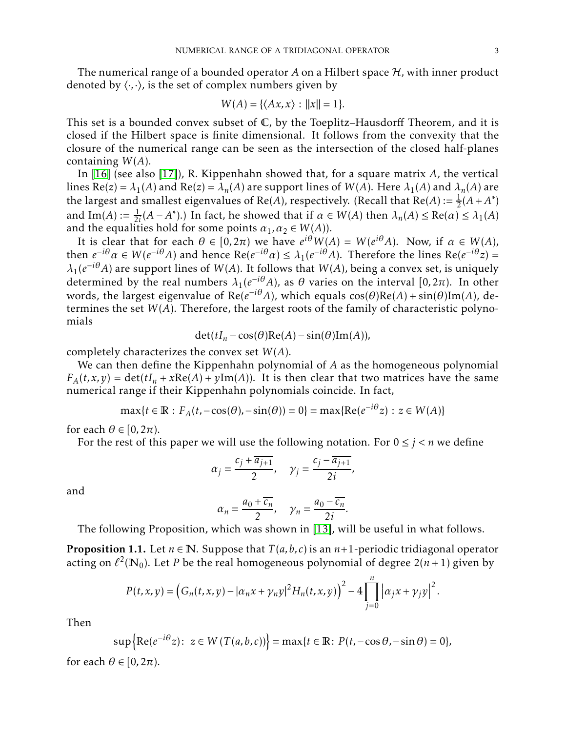The numerical range of a bounded operator  $A$  on a Hilbert space  $H$ , with inner product denoted by  $\langle \cdot, \cdot \rangle$ , is the set of complex numbers given by

$$
W(A) = \{ \langle Ax, x \rangle : ||x|| = 1 \}.
$$

This set is a bounded convex subset of C, by the Toeplitz–Hausdorff Theorem, and it is closed if the Hilbert space is finite dimensional. It follows from the convexity that the closure of the numerical range can be seen as the intersection of the closed half-planes containing *W*(*A*).

In [\[16\]](#page-15-8) (see also [\[17\]](#page-15-9)), R. Kippenhahn showed that, for a square matrix *A*, the vertical lines  $Re(z) = \lambda_1(A)$  and  $Re(z) = \lambda_n(A)$  are support lines of  $W(A)$ . Here  $\lambda_1(A)$  and  $\lambda_n(A)$  are the largest and smallest eigenvalues of Re(*A*), respectively. (Recall that Re(*A*) :=  $\frac{1}{2}(A + A^*)$ and  $\text{Im}(A) := \frac{1}{2i}(A - A^*)$ .) In fact, he showed that if  $\alpha \in W(A)$  then  $\lambda_n(A) \le \text{Re}(\alpha) \le \lambda_1(A)$ and the equalities hold for some points  $\alpha_1, \alpha_2 \in W(A)$ .

It is clear that for each  $\theta \in [0, 2\pi)$  we have  $e^{i\theta}W(A) = W(e^{i\theta}A)$ . Now, if  $\alpha \in W(A)$ , then  $e^{-i\theta} \alpha \in W(e^{-i\theta}A)$  and hence  $\text{Re}(e^{-i\theta} \alpha) \leq \lambda_1(e^{-i\theta}A)$ . Therefore the lines  $\text{Re}(e^{-i\theta}z) =$  $\lambda_1(e^{-i\theta}A)$  are support lines of *W*(*A*). It follows that *W*(*A*), being a convex set, is uniquely determined by the real numbers  $\lambda_1(e^{-i\theta}A)$ , as  $\theta$  varies on the interval  $[0,2\pi)$ . In other words, the largest eigenvalue of Re( $e^{-i\theta}A$ ), which equals  $\cos(\theta) \text{Re}(A) + \sin(\theta) \text{Im}(A)$ , determines the set *W*(*A*). Therefore, the largest roots of the family of characteristic polynomials

$$
\det(tI_n - \cos(\theta)\operatorname{Re}(A) - \sin(\theta)\operatorname{Im}(A)),
$$

completely characterizes the convex set *W*(*A*).

We can then define the Kippenhahn polynomial of *A* as the homogeneous polynomial  $F_A(t, x, y) = \det(tI_n + x\text{Re}(A) + y\text{Im}(A))$ . It is then clear that two matrices have the same numerical range if their Kippenhahn polynomials coincide. In fact,

$$
\max\{t \in \mathbb{R} : F_A(t, -\cos(\theta), -\sin(\theta)) = 0\} = \max\{\text{Re}(e^{-i\theta}z) : z \in W(A)\}\
$$

for each  $\theta \in [0, 2\pi)$ .

For the rest of this paper we will use the following notation. For  $0 \leq j \leq n$  we define

$$
\alpha_j = \frac{c_j + \overline{a_{j+1}}}{2}, \quad \gamma_j = \frac{c_j - \overline{a_{j+1}}}{2i},
$$

and

$$
\alpha_n = \frac{a_0 + \overline{c_n}}{2}, \quad \gamma_n = \frac{a_0 - \overline{c_n}}{2i}.
$$

The following Proposition, which was shown in [\[13\]](#page-15-5), will be useful in what follows.

<span id="page-2-0"></span>**Proposition 1.1.** Let  $n \in \mathbb{N}$ . Suppose that  $T(a, b, c)$  is an  $n+1$ -periodic tridiagonal operator acting on  $\ell^2(\mathbb{N}_0)$ . Let *P* be the real homogeneous polynomial of degree  $2(n+1)$  given by

$$
P(t, x, y) = (G_n(t, x, y) - |\alpha_n x + \gamma_n y|^2 H_n(t, x, y))^2 - 4 \prod_{j=0}^n |\alpha_j x + \gamma_j y|^2.
$$

Then

$$
\sup\left\{\operatorname{Re}(e^{-i\theta}z): z\in W(T(a,b,c))\right\}=\max\{t\in\mathbb{R}\colon P(t,-\cos\theta,-\sin\theta)=0\},\,
$$

for each  $\theta \in [0, 2\pi)$ .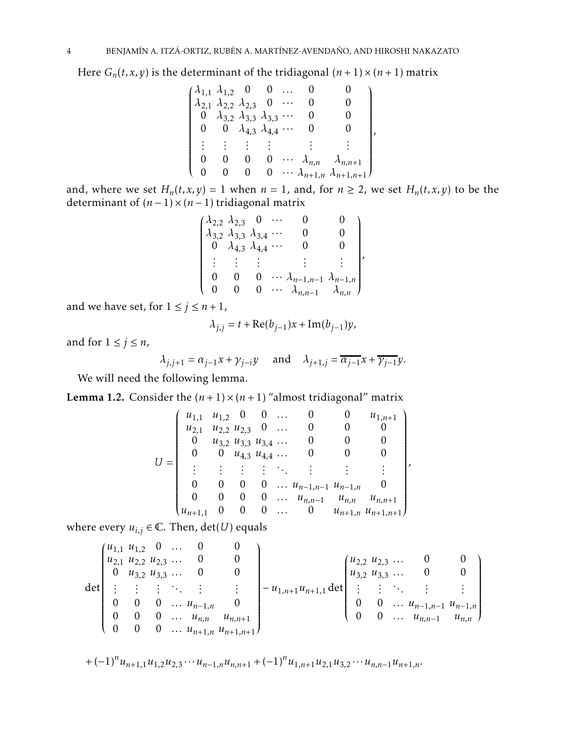Here  $G_n(t, x, y)$  is the determinant of the tridiagonal  $(n + 1) \times (n + 1)$  matrix

|  | $(\lambda_{1,1} \lambda_{1,2} 0 0)$               |   |  |                                            |  |
|--|---------------------------------------------------|---|--|--------------------------------------------|--|
|  | $\lambda_{2,1}$ $\lambda_{2,2}$ $\lambda_{2,3}$ 0 |   |  |                                            |  |
|  | 0 $\lambda_{3,2}$ $\lambda_{3,3}$ $\lambda_{3,3}$ |   |  |                                            |  |
|  | 0 0 $\lambda_{4,3}$ $\lambda_{4,4}$               |   |  |                                            |  |
|  |                                                   |   |  |                                            |  |
|  |                                                   |   |  | $\cdots \lambda_{n,n} \lambda_{n,n+1}$     |  |
|  |                                                   | O |  | $\cdots \lambda_{n+1,n} \lambda_{n+1,n+1}$ |  |

and, where we set  $H_n(t, x, y) = 1$  when  $n = 1$ , and, for  $n \ge 2$ , we set  $H_n(t, x, y)$  to be the determinant of  $(n-1) \times (n-1)$  tridiagonal matrix

| $(\lambda_{2,2} \lambda_{2,3} 0 \cdots$                                    |                                             |  |                                                                                          |          |
|----------------------------------------------------------------------------|---------------------------------------------|--|------------------------------------------------------------------------------------------|----------|
| $\lambda_{3,2} \lambda_{3,3} \lambda_{3,4} $                               |                                             |  |                                                                                          | $\Omega$ |
| $\begin{pmatrix} 0 & \lambda_{4,3} & \lambda_{4,4} & \cdots \end{pmatrix}$ |                                             |  |                                                                                          | 0.       |
|                                                                            | $\mathbf{H} = \mathbf{H} \times \mathbf{H}$ |  |                                                                                          |          |
|                                                                            |                                             |  |                                                                                          |          |
|                                                                            | $\mathbf{0}$                                |  | 0 $\cdots \lambda_{n-1,n-1} \lambda_{n-1,n}$<br>0 $\cdots \lambda_{n,n-1} \lambda_{n,n}$ |          |

*,*

and we have set, for  $1 \le j \le n+1$ ,

$$
\lambda_{j,j} = t + \text{Re}(b_{j-1})x + \text{Im}(b_{j-1})y,
$$

and for  $1 \leq j \leq n$ ,

$$
\lambda_{j,j+1} = \alpha_{j-1} x + \gamma_{j-i} y \quad \text{and} \quad \lambda_{j+1,j} = \overline{\alpha_{j-1}} x + \overline{\gamma_{j-1}} y.
$$

We will need the following lemma.

<span id="page-3-0"></span>**Lemma 1.2.** Consider the  $(n + 1) \times (n + 1)$  "almost tridiagonal" matrix

$$
U = \begin{pmatrix} u_{1,1} & u_{1,2} & 0 & 0 & \dots & 0 & 0 & u_{1,n+1} \\ u_{2,1} & u_{2,2} & u_{2,3} & 0 & \dots & 0 & 0 & 0 \\ 0 & u_{3,2} & u_{3,3} & u_{3,4} & \dots & 0 & 0 & 0 \\ 0 & 0 & u_{4,3} & u_{4,4} & \dots & 0 & 0 & 0 \\ \vdots & \vdots & \vdots & \vdots & \ddots & \vdots & \vdots & \vdots \\ 0 & 0 & 0 & 0 & \dots & u_{n-1,n-1} & u_{n-1,n} & 0 \\ 0 & 0 & 0 & 0 & \dots & u_{n,n-1} & u_{n,n} & u_{n,n+1} \\ u_{n+1,1} & 0 & 0 & 0 & \dots & 0 & u_{n+1,n} & u_{n+1,n+1} \end{pmatrix},
$$

where every  $u_{i,j} \in \mathbb{C}$ . Then,  $\det(U)$  equals

$$
\det\begin{pmatrix}u_{1,1} & u_{1,2} & 0 & \dots & 0 & 0\\u_{2,1} & u_{2,2} & u_{2,3} & \dots & 0 & 0\\0 & u_{3,2} & u_{3,3} & \dots & 0 & 0\\ \vdots & \vdots & \vdots & \ddots & \vdots & \vdots\\0 & 0 & 0 & \dots & u_{n-1,n} & 0\\0 & 0 & 0 & \dots & u_{n,n} & u_{n,n+1}\end{pmatrix} - u_{1,n+1}u_{n+1,1} \det\begin{pmatrix}u_{2,2} & u_{2,3} & \dots & 0 & 0\\u_{3,2} & u_{3,3} & \dots & 0 & 0\\ \vdots & \vdots & \ddots & \vdots & \vdots\\0 & 0 & \dots & u_{n-1,n-1} & u_{n-1,n}\\0 & 0 & \dots & u_{n,n-1} & u_{n,n}\end{pmatrix}
$$

+  $(-1)^n u_{n+1,1} u_{1,2} u_{2,3} \cdots u_{n-1,n} u_{n,n+1} + (-1)^n u_{1,n+1} u_{2,1} u_{3,2} \cdots u_{n,n-1} u_{n+1,n}$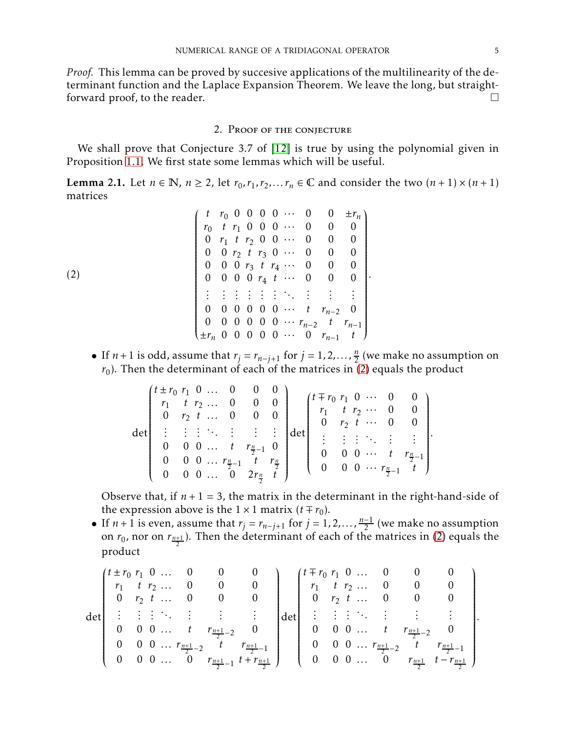*Proof.* This lemma can be proved by succesive applications of the multilinearity of the determinant function and the Laplace Expansion Theorem. We leave the long, but straightforward proof, to the reader.

# 2. Proof of the conjecture

We shall prove that Conjecture 3.7 of [\[12\]](#page-15-6) is true by using the polynomial given in Proposition [1.1.](#page-2-0) We first state some lemmas which will be useful.

<span id="page-4-1"></span>**Lemma 2.1.** Let  $n \in \mathbb{N}$ ,  $n \ge 2$ , let  $r_0, r_1, r_2, \ldots, r_n \in \mathbb{C}$  and consider the two  $(n+1) \times (n+1)$ matrices

$$
(2)
$$
\n
$$
(2)
$$
\n
$$
\begin{pmatrix}\n t & r_0 & 0 & 0 & 0 & 0 & \cdots & 0 & 0 & \pm r_n \\
 r_0 & t & r_1 & 0 & 0 & 0 & \cdots & 0 & 0 & 0 \\
 0 & r_1 & t & r_2 & 0 & 0 & \cdots & 0 & 0 & 0 \\
 0 & 0 & r_2 & t & r_3 & 0 & \cdots & 0 & 0 & 0 \\
 0 & 0 & 0 & r_3 & t & r_4 & \cdots & 0 & 0 & 0 \\
 0 & 0 & 0 & 0 & r_4 & t & \cdots & 0 & 0 & 0 \\
 \vdots & \vdots & \vdots & \vdots & \vdots & \vdots & \ddots & \vdots & \vdots & \vdots \\
 0 & 0 & 0 & 0 & 0 & 0 & \cdots & t & r_{n-2} & 0 \\
 0 & 0 & 0 & 0 & 0 & 0 & \cdots & r_{n-2} & t & r_{n-1} \\
 \pm r_n & 0 & 0 & 0 & 0 & 0 & \cdots & 0 & r_{n-1} & t\n\end{pmatrix}
$$

<span id="page-4-0"></span>• If *n*+1 is odd, assume that  $r_j = r_{n-j+1}$  for  $j = 1, 2, ..., \frac{n}{2}$  $\frac{n}{2}$  (we make no assumption on  $r_{\rm 0}$ ). Then the determinant of each of the matrices in [\(2\)](#page-4-0) equals the product

*.*

| $r_1$ <i>t</i> $r_2$ 0<br>$r_1$ $t$ $r_2$ $\cdots$ 0 0<br>0 $r_2$ t  0 0<br>$\cdots$ 0 0  <br>$0 \quad r_2 \quad t$<br>生活主张 生产主义<br>det<br><b>生姜 医生姜</b><br>0 0 $t$ $r_{\frac{n}{2}-1}$ 0<br>$\mathbf{0}$<br>$\cdots$ $t$ $r_{\frac{n}{2}-1}$<br>$\theta$<br>$0 \ \ 0 \ \ \ldots \ \ r_{\frac{n}{2}-1} \ \ t \ \ r_{\frac{n}{2}}$<br>$\theta$<br>0 0 $\cdots$ $r_{\frac{n}{2}-1}$ t $\int$<br>$\theta$<br>$\begin{pmatrix} 0 & 0 & 0 & \dots & 0 & 2r_{\frac{n}{2}} & t \end{pmatrix}$ |  | $(t \pm r_0 r_1 0  0 0 0$ |  |  |  | $\cup$ |  |  | $(t \mp r_0 r_1 0 \cdots 0$ |  |  |  |  |  |  |
|----------------------------------------------------------------------------------------------------------------------------------------------------------------------------------------------------------------------------------------------------------------------------------------------------------------------------------------------------------------------------------------------------------------------------------------------------------------------------------------|--|---------------------------|--|--|--|--------|--|--|-----------------------------|--|--|--|--|--|--|
|----------------------------------------------------------------------------------------------------------------------------------------------------------------------------------------------------------------------------------------------------------------------------------------------------------------------------------------------------------------------------------------------------------------------------------------------------------------------------------------|--|---------------------------|--|--|--|--------|--|--|-----------------------------|--|--|--|--|--|--|

Observe that, if  $n + 1 = 3$ , the matrix in the determinant in the right-hand-side of the expression above is the  $1 \times 1$  matrix  $(t \mp r_0)$ .

• If  $n + 1$  is even, assume that  $r_j = r_{n-j+1}$  for  $j = 1, 2, ..., \frac{n-1}{2}$  (we make no assumption on  $r_0$ , nor on  $r_{\frac{n+1}{2}}$ ). Then the determinant of each of the matrices in [\(2\)](#page-4-0) equals the product

$$
\det\begin{pmatrix} t \pm r_0 & r_1 & 0 & \dots & 0 & 0 & 0 \\ r_1 & t & r_2 & \dots & 0 & 0 & 0 \\ 0 & r_2 & t & \dots & 0 & 0 & 0 \\ \vdots & \vdots & \vdots & \ddots & \vdots & \vdots & \vdots \\ 0 & 0 & 0 & \dots & t & r_{\frac{n+1}{2}-2} & t \\ 0 & 0 & 0 & \dots & 0 & r_{\frac{n+1}{2}-1} & t + r_{\frac{n+1}{2}} \end{pmatrix} \det\begin{pmatrix} t \mp r_0 & r_1 & 0 & \dots & 0 & 0 & 0 \\ r_1 & t & r_2 & \dots & 0 & 0 & 0 \\ 0 & r_2 & t & \dots & 0 & 0 & 0 \\ \vdots & \vdots & \vdots & \ddots & \vdots & \vdots & \vdots \\ 0 & 0 & 0 & \dots & t & r_{\frac{n+1}{2}-2} & t \\ 0 & 0 & 0 & \dots & t & r_{\frac{n+1}{2}-2} & t \\ 0 & 0 & 0 & \dots & 0 & r_{\frac{n+1}{2}} & t - r_{\frac{n+1}{2}} \end{pmatrix}.
$$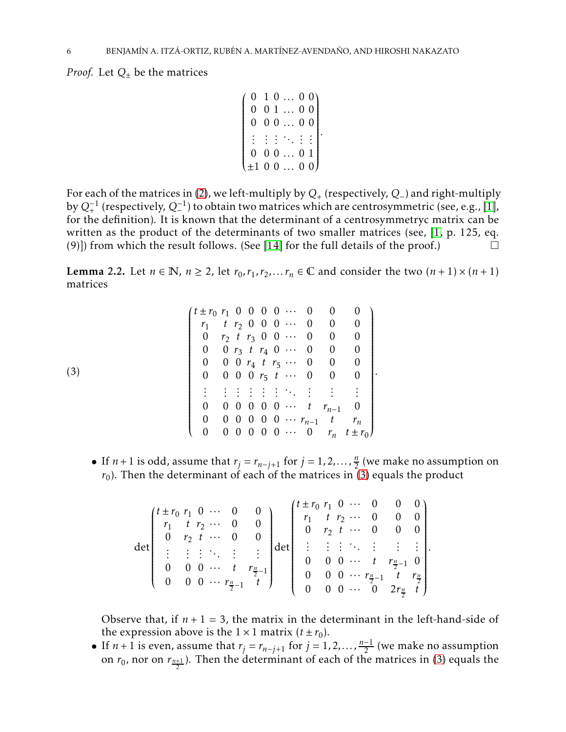*Proof.* Let  $Q_+$  be the matrices

$$
\begin{pmatrix}\n0 & 1 & 0 & \dots & 0 & 0 \\
0 & 0 & 1 & \dots & 0 & 0 \\
0 & 0 & 0 & \dots & 0 & 0 \\
\vdots & \vdots & \vdots & \ddots & \vdots & \vdots \\
0 & 0 & 0 & \dots & 0 & 1 \\
\pm 1 & 0 & 0 & \dots & 0 & 0\n\end{pmatrix}
$$

For each of the matrices in [\(2\)](#page-4-0), we left-multiply by  $Q_{+}$  (respectively,  $Q_{-}$ ) and right-multiply by *Q*−<sup>1</sup> + (respectively, *Q*−<sup>1</sup> ) to obtain two matrices which are centrosymmetric (see, e.g., [\[1\]](#page-14-1),  $\epsilon_1 \geq \epsilon_2$  (respectively),  $\epsilon_2$  is estable the difference which are centrosymmetric (see, e.g.), [1]). written as the product of the determinants of two smaller matrices (see, [\[1,](#page-14-1) p. 125, eq. (9)]) from which the result follows. (See [\[14\]](#page-15-10) for the full details of the proof.)  $\Box$ 

<span id="page-5-1"></span>**Lemma 2.2.** Let  $n \in \mathbb{N}$ ,  $n \ge 2$ , let  $r_0, r_1, r_2, \ldots, r_n \in \mathbb{C}$  and consider the two  $(n+1) \times (n+1)$ matrices

|     | $(t \pm r_0 r_1 0 0 0 0  0 0 0$ |   |  |  |  |                                      |                                      |
|-----|---------------------------------|---|--|--|--|--------------------------------------|--------------------------------------|
|     | $r_1$ <i>t</i> $r_2$ 0 0 0 … 0  |   |  |  |  | $0\qquad 0$                          |                                      |
|     |                                 |   |  |  |  | 0 $r_2$ t $r_3$ 0 0 $\cdots$ 0 0 0   |                                      |
|     | 0 0 $r_3$ t $r_4$ 0 $\cdots$ 0  |   |  |  |  | $\begin{array}{cc} 0 \end{array}$    | $\overline{\phantom{0}}$             |
|     | $\overline{0}$                  |   |  |  |  | 0 0 $r_4$ t $r_5$ 0 0 0              |                                      |
| (3) |                                 |   |  |  |  | 0 0 0 0 $r_5$ t $\cdots$ 0 0 0       |                                      |
|     |                                 |   |  |  |  | <b>EXECUTIVE CONTROL</b>             |                                      |
|     | $\overline{0}$                  |   |  |  |  | 0 0 0 0 0 $\cdots$ t $r_{n-1}$ 0     |                                      |
|     | $\overline{0}$                  |   |  |  |  | 0 0 0 0 0 $\cdots$ $r_{n-1}$ t $r_n$ |                                      |
|     |                                 | U |  |  |  |                                      | 0 0 0 0 $\cdots$ 0 $r_n$ $t \pm r_0$ |

<span id="page-5-0"></span>• If *n*+1 is odd, assume that  $r_j = r_{n-j+1}$  for  $j = 1, 2, ..., \frac{n}{2}$  $\frac{n}{2}$  (we make no assumption on  $r_0$ ). Then the determinant of each of the matrices in [\(3\)](#page-5-0) equals the product

*.*

| $(t \pm r_0 r_1 0$<br>$r_1$ t $r_2$ 0<br>$\overline{0}$<br>主体主体性。<br>$0 \quad 0$ |  | $\cdots$ 0<br>$r_2$ $t \cdots 0$ | $\theta$<br>t $r_{\frac{n}{2}-1}$<br>$\begin{pmatrix} 0 & 0 & 0 & \cdots & r_{\frac{n}{2}-1} & t \end{pmatrix}$ | det | $t \pm r_0 r_1$ 0  0 0 0)<br>$\overline{0}$<br>$\cup$ | $\overline{0}$ |  | $r_1$ <i>t</i> $r_2$ $\cdots$ 0 0 0<br>$r_2$ $t \cdots 0$ 0 0<br>E H F H H H H<br>$\cdots$ $t$ $r_{\frac{n}{2}-1}$ 0<br>$\cdots$ $r_{\frac{n}{2}-1}$ $t$ $r_{\frac{n}{2}}$ |  |
|----------------------------------------------------------------------------------|--|----------------------------------|-----------------------------------------------------------------------------------------------------------------|-----|-------------------------------------------------------|----------------|--|----------------------------------------------------------------------------------------------------------------------------------------------------------------------------|--|
|                                                                                  |  |                                  |                                                                                                                 |     | 0                                                     |                |  | $\cdots$ 0 $2r_{\frac{n}{2}}$ t                                                                                                                                            |  |

Observe that, if  $n + 1 = 3$ , the matrix in the determinant in the left-hand-side of the expression above is the  $1 \times 1$  matrix  $(t \pm r_0)$ .

• If  $n + 1$  is even, assume that  $r_j = r_{n-j+1}$  for  $j = 1, 2, ..., \frac{n-1}{2}$  (we make no assumption on  $r_0$ , nor on  $r_{\frac{n+1}{2}}$ ). Then the determinant of each of the matrices in [\(3\)](#page-5-0) equals the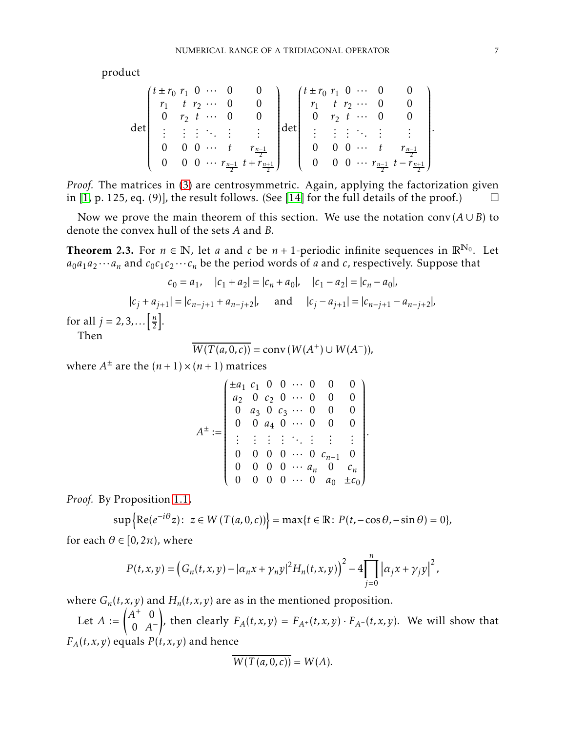product

$$
\det\begin{pmatrix}t \pm r_0 & r_1 & 0 & \cdots & 0 & 0 \\ r_1 & t & r_2 & \cdots & 0 & 0 \\ 0 & r_2 & t & \cdots & 0 & 0 \\ \vdots & \vdots & \vdots & \ddots & \vdots & \vdots \\ 0 & 0 & 0 & \cdots & t & r_{\frac{n-1}{2}} \\ 0 & 0 & 0 & \cdots & r_{\frac{n-1}{2}} & t + r_{\frac{n+1}{2}}\end{pmatrix}\det\begin{pmatrix}t \pm r_0 & r_1 & 0 & \cdots & 0 & 0 \\ r_1 & t & r_2 & \cdots & 0 & 0 \\ 0 & r_2 & t & \cdots & 0 & 0 \\ \vdots & \vdots & \vdots & \ddots & \vdots & \vdots \\ 0 & 0 & 0 & \cdots & t & r_{\frac{n-1}{2}} \\ 0 & 0 & 0 & \cdots & t & r_{\frac{n-1}{2}} \\ 0 & 0 & 0 & \cdots & r_{\frac{n-1}{2}} & t - r_{\frac{n+1}{2}}\end{pmatrix}
$$

*Proof.* The matrices in [\(3\)](#page-5-0) are centrosymmetric. Again, applying the factorization given in [\[1,](#page-14-1) p. 125, eq. (9)], the result follows. (See [\[14\]](#page-15-10) for the full details of the proof.)  $\square$ 

Now we prove the main theorem of this section. We use the notation conv $(A \cup B)$  to denote the convex hull of the sets *A* and *B*.

<span id="page-6-0"></span>**Theorem 2.3.** For  $n \in \mathbb{N}$ , let *a* and *c* be  $n + 1$ -periodic infinite sequences in  $\mathbb{R}^{N_0}$ . Let  $a_0a_1a_2\cdots a_n$  and  $c_0c_1c_2\cdots c_n$  be the period words of *a* and *c*, respectively. Suppose that

$$
c_0 = a_1, \quad |c_1 + a_2| = |c_n + a_0|, \quad |c_1 - a_2| = |c_n - a_0|,
$$
  

$$
|c_j + a_{j+1}| = |c_{n-j+1} + a_{n-j+2}|, \quad \text{and} \quad |c_j - a_{j+1}| = |c_{n-j+1} - a_{n-j+2}|,
$$
  
for all  $j = 2, 3, ... \left[\frac{n}{2}\right].$   
Then

 $W(T(a, 0, c)) = \text{conv}(W(A^+) \cup W(A^-)),$ 

where  $A^{\pm}$  are the  $(n+1) \times (n+1)$  matrices

$$
A^{\pm} := \begin{pmatrix} \pm a_1 & c_1 & 0 & 0 & \cdots & 0 & 0 & 0 \\ a_2 & 0 & c_2 & 0 & \cdots & 0 & 0 & 0 \\ 0 & a_3 & 0 & c_3 & \cdots & 0 & 0 & 0 \\ 0 & 0 & a_4 & 0 & \cdots & 0 & 0 & 0 \\ \vdots & \vdots & \vdots & \vdots & \ddots & \vdots & \vdots & \vdots & \vdots \\ 0 & 0 & 0 & 0 & \cdots & 0 & c_{n-1} & 0 \\ 0 & 0 & 0 & 0 & \cdots & a_n & 0 & c_n \\ 0 & 0 & 0 & 0 & \cdots & 0 & a_0 & \pm c_0 \end{pmatrix}.
$$

*Proof.* By Proposition [1.1,](#page-2-0)

$$
\sup\left\{\operatorname{Re}(e^{-i\theta}z): z \in W(T(a,0,c))\right\} = \max\{t \in \mathbb{R}: P(t,-\cos\theta,-\sin\theta) = 0\},\,
$$

for each  $\theta \in [0, 2\pi)$ , where

$$
P(t, x, y) = (G_n(t, x, y) - |\alpha_n x + \gamma_n y|^2 H_n(t, x, y))^2 - 4 \prod_{j=0}^n |\alpha_j x + \gamma_j y|^2,
$$

where  $G_n(t, x, y)$  and  $H_n(t, x, y)$  are as in the mentioned proposition.

Let  $A := \begin{pmatrix} A^+ & 0 \\ 0 & A^- \end{pmatrix}$ 0 *A* − ! , then clearly  $F_A(t, x, y) = F_{A^+}(t, x, y) \cdot F_{A^-}(t, x, y)$ . We will show that  $F_A(t,x,y)$  equals  $P(t,x,y)$  and hence

$$
\overline{W(T(a,0,c))} = W(A).
$$

*.*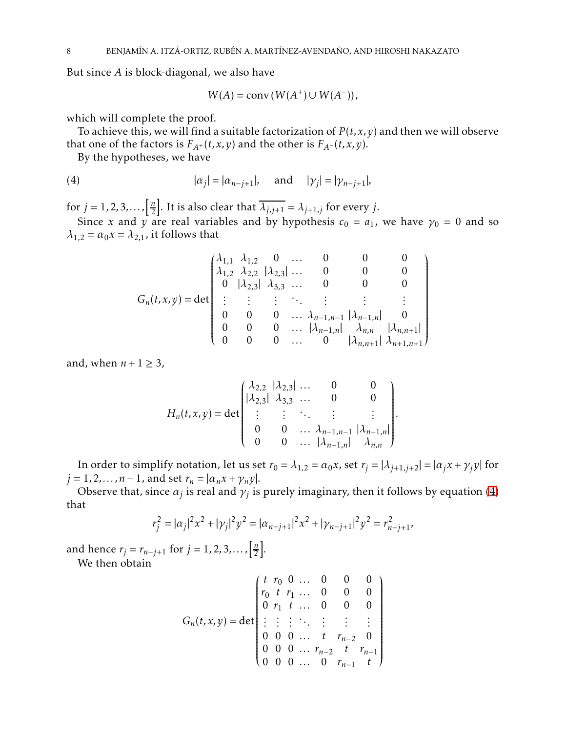But since *A* is block-diagonal, we also have

<span id="page-7-0"></span>
$$
W(A) = \text{conv}\left(W(A^+) \cup W(A^-)\right),
$$

which will complete the proof.

To achieve this, we will find a suitable factorization of  $P(t, x, y)$  and then we will observe that one of the factors is  $F_{A^+}(t, x, y)$  and the other is  $F_{A^-}(t, x, y)$ .

By the hypotheses, we have

(4) 
$$
|\alpha_j| = |\alpha_{n-j+1}|
$$
, and  $|\gamma_j| = |\gamma_{n-j+1}|$ ,

for  $j = 1, 2, 3, \ldots, \frac{n}{2}$  $\frac{n}{2}$ . It is also clear that  $\overline{\lambda_{j,j+1}} = \lambda_{j+1,j}$  for every *j*.

Since *x* and *y* are real variables and by hypothesis  $c_0 = a_1$ , we have  $\gamma_0 = 0$  and so  $\lambda_{1,2} = \alpha_0 x = \lambda_{2,1}$ , it follows that

$$
G_n(t, x, y) = det \begin{pmatrix} \lambda_{1,1} & \lambda_{1,2} & 0 & \dots & 0 & 0 & 0 \\ \lambda_{1,2} & \lambda_{2,2} & |\lambda_{2,3}| & \dots & 0 & 0 & 0 \\ 0 & |\lambda_{2,3}| & \lambda_{3,3} & \dots & 0 & 0 & 0 \\ \vdots & \vdots & \vdots & \ddots & \vdots & \vdots & \vdots \\ 0 & 0 & 0 & \dots & \lambda_{n-1,n-1} & |\lambda_{n-1,n}| & 0 \\ 0 & 0 & 0 & \dots & |\lambda_{n-1,n}| & \lambda_{n,n} & |\lambda_{n,n+1}| \\ 0 & 0 & 0 & \dots & 0 & |\lambda_{n,n+1}| & \lambda_{n+1,n+1} \end{pmatrix}
$$

and, when  $n+1 \geq 3$ ,

$$
H_n(t, x, y) = \det \begin{pmatrix} \lambda_{2,2} & |\lambda_{2,3}| & \dots & 0 & 0 \\ |\lambda_{2,3}| & \lambda_{3,3} & \dots & 0 & 0 \\ \vdots & \vdots & \ddots & \vdots & \vdots \\ 0 & 0 & \dots & \lambda_{n-1,n-1} & |\lambda_{n-1,n}| \\ 0 & 0 & \dots & |\lambda_{n-1,n}| & \lambda_{n,n} \end{pmatrix}
$$

*.*

In order to simplify notation, let us set  $r_0 = \lambda_{1,2} = \alpha_0 x$ , set  $r_j = |\lambda_{j+1,j+2}| = |\alpha_j x + \gamma_j y|$  for  $j = 1, 2, \ldots, n - 1$ , and set  $r_n = |\alpha_n x + \gamma_n y|$ .

Observe that, since  $\alpha_j$  is real and  $\gamma_j$  is purely imaginary, then it follows by equation [\(4\)](#page-7-0) that

$$
r_j^2 = |\alpha_j|^2 x^2 + |\gamma_j|^2 y^2 = |\alpha_{n-j+1}|^2 x^2 + |\gamma_{n-j+1}|^2 y^2 = r_{n-j+1}^2
$$

and hence  $r_j = r_{n-j+1}$  for  $j = 1, 2, 3, ...$ ,  $\left[\frac{n}{2}\right]$  $\frac{n}{2}$ .

We then obtain

$$
G_n(t, x, y) = det \begin{pmatrix} t & r_0 & 0 & \dots & 0 & 0 & 0 \\ r_0 & t & r_1 & \dots & 0 & 0 & 0 \\ 0 & r_1 & t & \dots & 0 & 0 & 0 \\ \vdots & \vdots & \vdots & \ddots & \vdots & \vdots & \vdots \\ 0 & 0 & 0 & \dots & t & r_{n-2} & 0 \\ 0 & 0 & 0 & \dots & 0 & r_{n-1} & t \end{pmatrix}
$$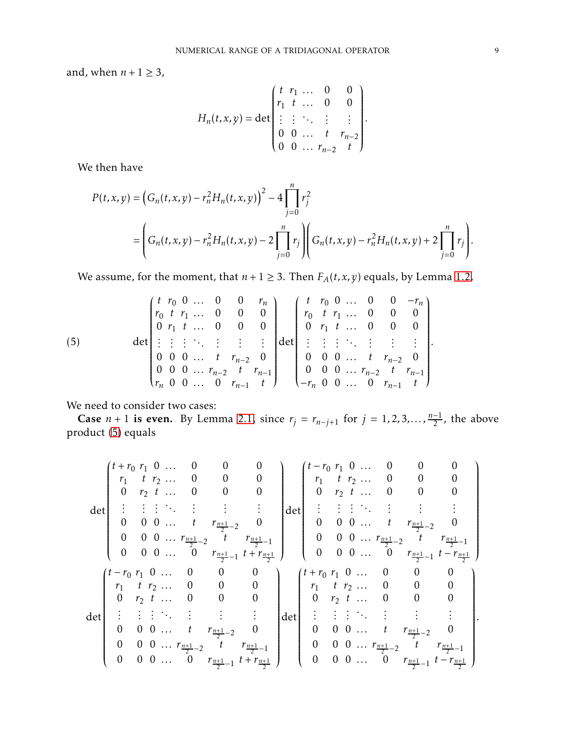and, when  $n + 1 \geq 3$ ,

$$
H_n(t, x, y) = \det \begin{pmatrix} t & r_1 & \dots & 0 & 0 \\ r_1 & t & \dots & 0 & 0 \\ \vdots & \vdots & \ddots & \vdots & \vdots \\ 0 & 0 & \dots & t & r_{n-2} \\ 0 & 0 & \dots & r_{n-2} & t \end{pmatrix}.
$$

We then have

$$
P(t, x, y) = (G_n(t, x, y) - r_n^2 H_n(t, x, y))^2 - 4 \prod_{j=0}^n r_j^2
$$
  
= 
$$
\left( G_n(t, x, y) - r_n^2 H_n(t, x, y) - 2 \prod_{j=0}^n r_j \right) \left( G_n(t, x, y) - r_n^2 H_n(t, x, y) + 2 \prod_{j=0}^n r_j \right).
$$

We assume, for the moment, that  $n + 1 \geq 3$ . Then  $F_A(t, x, y)$  equals, by Lemma [1.2,](#page-3-0)

<span id="page-8-0"></span>(5) 
$$
\det\begin{pmatrix} t & r_0 & 0 & \dots & 0 & 0 & r_n \\ r_0 & t & r_1 & \dots & 0 & 0 & 0 \\ 0 & r_1 & t & \dots & 0 & 0 & 0 \\ \vdots & \vdots & \vdots & \ddots & \vdots & \vdots & \vdots \\ 0 & 0 & 0 & \dots & t & r_{n-2} & 0 \\ r_n & 0 & 0 & \dots & 0 & r_{n-1} & t \end{pmatrix} \det\begin{pmatrix} t & r_0 & 0 & \dots & 0 & 0 & -r_n \\ r_0 & t & r_1 & \dots & 0 & 0 & 0 \\ 0 & r_1 & t & \dots & 0 & 0 & 0 \\ 0 & r_1 & t & \dots & 0 & 0 & 0 \\ \vdots & \vdots & \vdots & \ddots & \vdots & \vdots & \vdots \\ 0 & 0 & 0 & \dots & t & r_{n-2} & 0 \\ 0 & 0 & 0 & \dots & t & r_{n-2} & t \\ -r_n & 0 & 0 & \dots & 0 & r_{n-1} & t \end{pmatrix}.
$$

We need to consider two cases:

**Case**  $n + 1$  is even. By Lemma [2.1,](#page-4-1) since  $r_j = r_{n-j+1}$  for  $j = 1, 2, 3, ..., \frac{n-1}{2}$ , the above product [\(5\)](#page-8-0) equals

$$
\det\begin{pmatrix} t+r_0 & r_1 & 0 & \dots & 0 & 0 & 0 & 0 \\ r_1 & t & r_2 & \dots & 0 & 0 & 0 & 0 \\ 0 & r_2 & t & \dots & 0 & 0 & 0 & 0 \\ \vdots & \vdots & \vdots & \ddots & \vdots & \vdots & \vdots & \vdots & \vdots \\ 0 & 0 & 0 & \dots & t & r_{\frac{n+1}{2}-2} & t & r_{\frac{n+1}{2}-1} \\ 0 & 0 & 0 & \dots & 0 & r_{\frac{n+1}{2}-1} & t+r_{\frac{n+1}{2}} \end{pmatrix} \det\begin{pmatrix} t-r_0 & r_1 & 0 & \dots & 0 & 0 & 0 \\ r_1 & t & r_2 & \dots & 0 & 0 & 0 \\ 0 & r_2 & t & \dots & 0 & 0 & 0 & 0 \\ 0 & 0 & 0 & \dots & t & r_{\frac{n+1}{2}-2} & t & r_{\frac{n+1}{2}-1} \\ 0 & 0 & 0 & \dots & t & r_{\frac{n+1}{2}-1} & t+r_{\frac{n+1}{2}} \end{pmatrix}
$$
\n
$$
\det\begin{pmatrix} t-r_0 & r_1 & 0 & \dots & 0 & 0 & 0 \\ r_1 & t & r_2 & \dots & 0 & 0 & 0 \\ r_1 & t & r_2 & \dots & 0 & 0 & 0 \\ 0 & r_2 & t & \dots & 0 & 0 & 0 \\ \vdots & \vdots & \vdots & \ddots & \vdots & \vdots & \vdots & \vdots & \vdots \\ 0 & 0 & 0 & \dots & t & r_{\frac{n+1}{2}-2} & 0 \\ 0 & 0 & 0 & \dots & t & r_{\frac{n+1}{2}-1} & t+r_{\frac{n+1}{2}} \end{pmatrix} \det\begin{pmatrix} t+r_0 & r_1 & 0 & \dots & 0 & 0 & 0 \\ r_1 & t & r_2 & \dots & 0 & 0 & 0 \\ 0 & r_2 & t & \dots & 0 & 0 & 0 \\ 0 & r_2 & t & \dots & 0 & 0 & 0 \\ 0 & 0 & 0 & \dots & t & r_{\frac{n+1}{2}-2} & 0 \\ 0 & 0 & 0 & \dots & t & r_{\frac{n+1}{2}-1} & t+r_{\frac{n+1}{2}} \end{pmatrix}
$$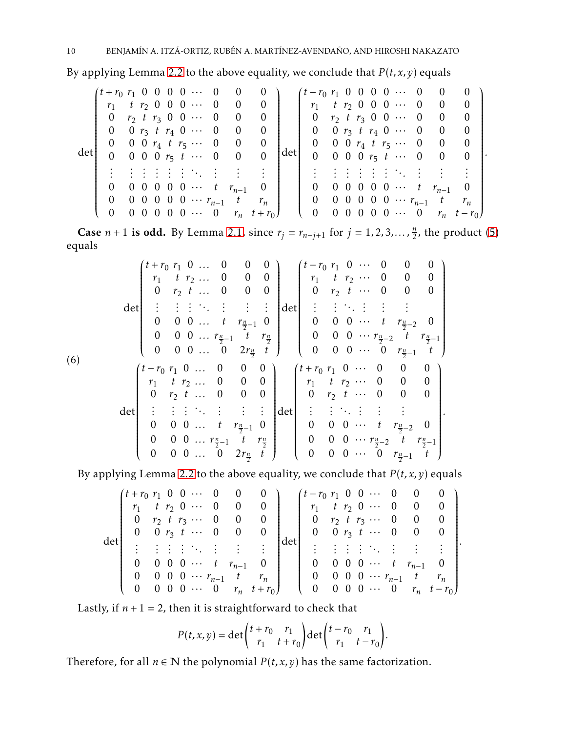By applying Lemma [2.2](#page-5-1) to the above equality, we conclude that  $P(t, x, y)$  equals

det *t* + *r*<sup>0</sup> *r*<sup>1</sup> 0 0 0 0 ··· 0 0 0 *r*<sup>1</sup> *t r*<sup>2</sup> 0 0 0 ··· 0 0 0 0 *r*<sup>2</sup> *t r*<sup>3</sup> 0 0 ··· 0 0 0 0 0 *r*<sup>3</sup> *t r*<sup>4</sup> 0 ··· 0 0 0 0 0 0 *r*<sup>4</sup> *t r*<sup>5</sup> ··· 0 0 0 0 0 0 0 *r*<sup>5</sup> *t* ··· 0 0 0 *. . . . . . . . . . . . . . . . . . . . . . . . . . . . . .* 0 0 0 0 0 0 ··· *t rn*−<sup>1</sup> 0 0 0 0 0 0 0 ··· *rn*−<sup>1</sup> *t r<sup>n</sup>* 0 0 0 0 0 0 ··· 0 *r<sup>n</sup> t* + *r*<sup>0</sup> det *t* − *r*<sup>0</sup> *r*<sup>1</sup> 0 0 0 0 ··· 0 0 0 *r*<sup>1</sup> *t r*<sup>2</sup> 0 0 0 ··· 0 0 0 0 *r*<sup>2</sup> *t r*<sup>3</sup> 0 0 ··· 0 0 0 0 0 *r*<sup>3</sup> *t r*<sup>4</sup> 0 ··· 0 0 0 0 0 0 *r*<sup>4</sup> *t r*<sup>5</sup> ··· 0 0 0 0 0 0 0 *r*<sup>5</sup> *t* ··· 0 0 0 *. . . . . . . . . . . . . . . . . . . . . . . . . . . . . .* 0 0 0 0 0 0 ··· *t rn*−<sup>1</sup> 0 0 0 0 0 0 0 ··· *rn*−<sup>1</sup> *t r<sup>n</sup>* 0 0 0 0 0 0 ··· 0 *r<sup>n</sup> t* − *r*<sup>0</sup> *.*

Case *n* + 1 is odd. By Lemma [2.1,](#page-4-1) since  $r_j = r_{n-j+1}$  for  $j = 1, 2, 3, ..., \frac{n}{2}$  $\frac{n}{2}$ , the product [\(5\)](#page-8-0) equals

<span id="page-9-0"></span>
$$
det\n\begin{pmatrix}\nt+r_0 & r_1 & 0 & \dots & 0 & 0 & 0 \\
r_1 & t & r_2 & \dots & 0 & 0 & 0 \\
0 & r_2 & t & \dots & 0 & 0 & 0 \\
\vdots & \vdots & \vdots & \ddots & \vdots & \vdots & \vdots \\
0 & 0 & 0 & \dots & t & r_{\frac{n}{2}-1} & 0 \\
0 & 0 & 0 & \dots & 0 & 2r_{\frac{n}{2}} & t\n\end{pmatrix}\n\begin{pmatrix}\nt-r_0 & r_1 & 0 & \dots & 0 & 0 & 0 \\
r_1 & t & r_2 & \dots & 0 & 0 & 0 \\
0 & r_2 & t & \dots & 0 & 0 & 0 \\
0 & 0 & 0 & \dots & t & r_{\frac{n}{2}-2} & 0 \\
0 & 0 & 0 & \dots & t & r_{\frac{n}{2}-2} & t\n\end{pmatrix}
$$
\n
$$
det\n\begin{pmatrix}\nt-r_0 & r_1 & 0 & \dots & 0 & 0 & 0 \\
0 & 0 & 0 & \dots & t & r_{\frac{n}{2}-1} & t \\
0 & 0 & 0 & \dots & 0 & 0 & 0 \\
0 & r_2 & t & \dots & 0 & 0 & 0 \\
0 & r_2 & t & \dots & 0 & 0 & 0 \\
\vdots & \vdots & \vdots & \ddots & \vdots & \vdots & \vdots & \vdots \\
0 & 0 & 0 & \dots & t & r_{\frac{n}{2}-1} & 0 \\
0 & 0 & 0 & \dots & t & r_{\frac{n}{2}-1} & t\n\end{pmatrix}\n\begin{pmatrix}\nt+r_0 & r_1 & 0 & \dots & 0 & 0 & 0 \\
r_1 & t & r_2 & \dots & 0 & 0 & 0 \\
0 & r_2 & t & \dots & 0 & 0 & 0 \\
0 & r_2 & t & \dots & 0 & 0 & 0 \\
0 & r_2 & t & \dots & 0 & 0 & 0 \\
0 & 0 & 0 & \dots & t & r_{\frac{n}{2}-2} & 0 \\
0 & 0 & 0 & \dots & t & r_{\frac{n}{2}-2} & t\n\end{pmatrix}.
$$

By applying Lemma [2.2](#page-5-1) to the above equality, we conclude that *P*(*t, x,y*) equals

$$
\det\begin{pmatrix}t+r_0 & r_1 & 0 & 0 & \cdots & 0 & 0 & 0 \\r_1 & t & r_2 & 0 & \cdots & 0 & 0 & 0 \\0 & r_2 & t & r_3 & \cdots & 0 & 0 & 0 \\0 & 0 & r_3 & t & \cdots & 0 & 0 & 0 \\ \vdots & \vdots & \vdots & \vdots & \ddots & \vdots & \vdots & \vdots & \vdots \\0 & 0 & 0 & 0 & \cdots & t & r_{n-1} & 0 \\0 & 0 & 0 & 0 & \cdots & r_{n-1} & t & r_n \\0 & 0 & 0 & 0 & \cdots & 0 & r_n & t+r_0\end{pmatrix}\det\begin{pmatrix}t-r_0 & r_1 & 0 & 0 & \cdots & 0 & 0 & 0 \\r_1 & t & r_2 & 0 & \cdots & 0 & 0 & 0 \\0 & r_2 & t & r_3 & \cdots & 0 & 0 & 0 \\0 & 0 & r_3 & t & \cdots & 0 & 0 & 0 \\0 & 0 & r_3 & t & \cdots & 0 & 0 & 0 \\0 & 0 & 0 & r_3 & t & \cdots & 0 & 0 \\0 & 0 & 0 & 0 & \cdots & t & r_{n-1} & 0 \\0 & 0 & 0 & 0 & \cdots & r_{n-1} & t & r_n \\0 & 0 & 0 & 0 & \cdots & r_n & t-r_0\end{pmatrix}.
$$

Lastly, if  $n + 1 = 2$ , then it is straightforward to check that

$$
P(t, x, y) = \det \begin{pmatrix} t + r_0 & r_1 \\ r_1 & t + r_0 \end{pmatrix} \det \begin{pmatrix} t - r_0 & r_1 \\ r_1 & t - r_0 \end{pmatrix}.
$$

Therefore, for all  $n \in \mathbb{N}$  the polynomial  $P(t, x, y)$  has the same factorization.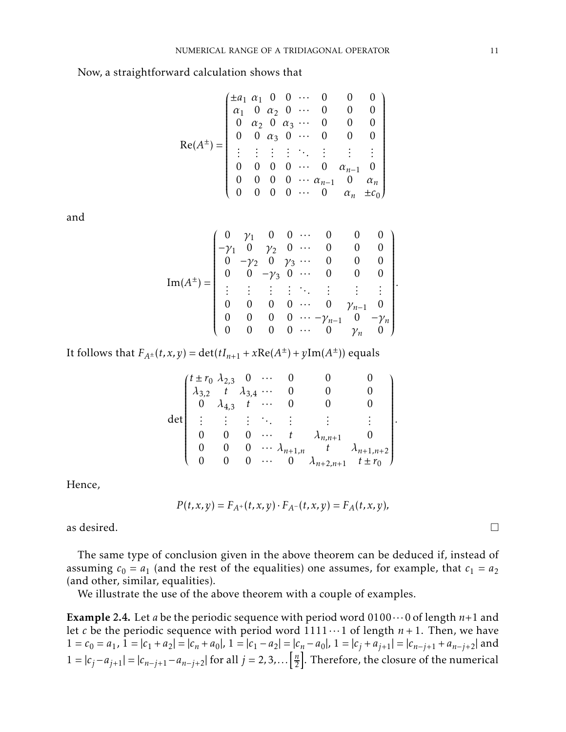Now, a straightforward calculation shows that

$$
Re(A^{\pm}) = \begin{pmatrix} \pm a_1 & a_1 & 0 & 0 & \cdots & 0 & 0 & 0 \\ \alpha_1 & 0 & \alpha_2 & 0 & \cdots & 0 & 0 & 0 \\ 0 & \alpha_2 & 0 & \alpha_3 & \cdots & 0 & 0 & 0 \\ 0 & 0 & \alpha_3 & 0 & \cdots & 0 & 0 & 0 \\ \vdots & \vdots & \vdots & \vdots & \ddots & \vdots & \vdots & \vdots \\ 0 & 0 & 0 & 0 & \cdots & 0 & \alpha_{n-1} & 0 \\ 0 & 0 & 0 & 0 & \cdots & \alpha_{n-1} & 0 & \alpha_n \\ 0 & 0 & 0 & 0 & \cdots & 0 & \alpha_n & \pm c_0 \end{pmatrix}
$$

and

$$
\operatorname{Im}(A^{\pm}) = \begin{pmatrix}\n0 & \gamma_1 & 0 & 0 & \cdots & 0 & 0 & 0 & 0 \\
-\gamma_1 & 0 & \gamma_2 & 0 & \cdots & 0 & 0 & 0 & 0 \\
0 & -\gamma_2 & 0 & \gamma_3 & \cdots & 0 & 0 & 0 & 0 \\
0 & 0 & -\gamma_3 & 0 & \cdots & 0 & 0 & 0 & 0 \\
\vdots & \vdots & \vdots & \vdots & \ddots & \vdots & \vdots & \vdots & \vdots \\
0 & 0 & 0 & 0 & \cdots & 0 & \gamma_{n-1} & 0 \\
0 & 0 & 0 & 0 & \cdots & -\gamma_{n-1} & 0 & -\gamma_n \\
0 & 0 & 0 & 0 & \cdots & 0 & \gamma_n & 0\n\end{pmatrix}.
$$

It follows that  $F_{A^{\pm}}(t, x, y) = det(tI_{n+1} + xRe(A^{\pm}) + yIm(A^{\pm}))$  equals

| $(t \pm r_0 \lambda_{2,3} 0$       |                                                         | $\cdots$                       |                          |                     |                     |  |
|------------------------------------|---------------------------------------------------------|--------------------------------|--------------------------|---------------------|---------------------|--|
| $\lambda_{3,2}$ t $\lambda_{3,4}$  |                                                         |                                |                          |                     |                     |  |
| $\overline{0}$ $\lambda_{4,3}$ $t$ |                                                         |                                |                          |                     |                     |  |
|                                    | $\frac{1}{2}$ $\frac{1}{2}$ $\frac{1}{2}$ $\frac{1}{2}$ |                                |                          |                     |                     |  |
|                                    |                                                         | $\leftrightarrow$ $\leftarrow$ |                          | $\lambda_{n,n+1}$   |                     |  |
|                                    |                                                         |                                | $\cdots \lambda_{n+1,n}$ | $\overline{t}$      | $\lambda_{n+1,n+2}$ |  |
|                                    |                                                         |                                | $0 \cdots 0$             | $\lambda_{n+2,n+1}$ | $t \pm r_0$         |  |

Hence,

$$
P(t, x, y) = F_{A^+}(t, x, y) \cdot F_{A^-}(t, x, y) = F_A(t, x, y),
$$

as desired.  $\Box$ 

The same type of conclusion given in the above theorem can be deduced if, instead of assuming  $c_0 = a_1$  (and the rest of the equalities) one assumes, for example, that  $c_1 = a_2$ (and other, similar, equalities).

We illustrate the use of the above theorem with a couple of examples.

**Example 2.4.** Let *a* be the periodic sequence with period word  $0100 \cdots 0$  of length  $n+1$  and let *c* be the periodic sequence with period word  $1111 \cdots 1$  of length  $n + 1$ . Then, we have  $1 = c_0 = a_1$ ,  $1 = |c_1 + a_2| = |c_n + a_0|$ ,  $1 = |c_1 - a_2| = |c_n - a_0|$ ,  $1 = |c_i + a_{i+1}| = |c_{n-i+1} + a_{n-i+2}|$  and  $1 = |c_j - a_{j+1}| = |c_{n-j+1} - a_{n-j+2}|$  for all  $j = 2, 3, ...$  $\frac{n}{2}$ . Therefore, the closure of the numerical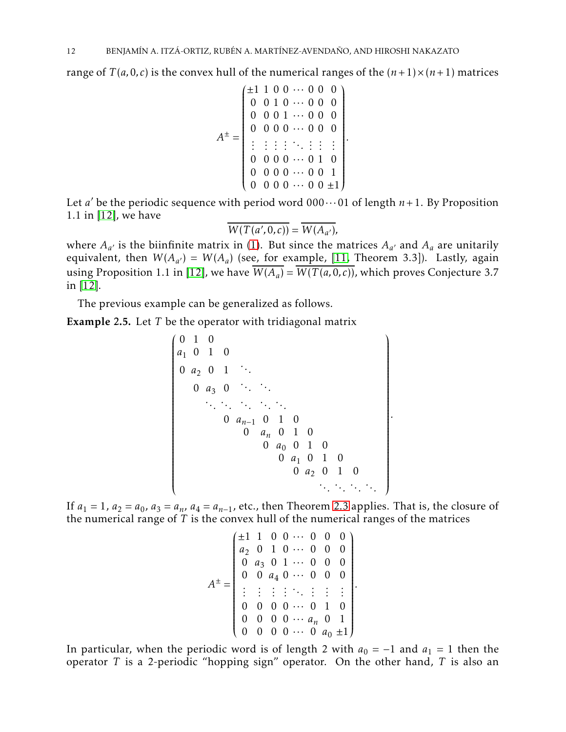range of  $T(a, 0, c)$  is the convex hull of the numerical ranges of the  $(n+1) \times (n+1)$  matrices

$$
A^{\pm} = \begin{pmatrix} \pm 1 & 1 & 0 & 0 & \cdots & 0 & 0 & 0 \\ 0 & 0 & 1 & 0 & \cdots & 0 & 0 & 0 \\ 0 & 0 & 0 & 1 & \cdots & 0 & 0 & 0 \\ 0 & 0 & 0 & 0 & \cdots & 0 & 0 & 0 \\ \vdots & \vdots & \vdots & \vdots & \ddots & \vdots & \vdots & \vdots & \vdots \\ 0 & 0 & 0 & 0 & \cdots & 0 & 1 & 0 \\ 0 & 0 & 0 & 0 & \cdots & 0 & 0 & 1 \\ 0 & 0 & 0 & 0 & \cdots & 0 & 0 & \pm 1 \end{pmatrix}
$$

*.*

*.*

Let *a'* be the periodic sequence with period word  $000 \cdots 01$  of length  $n+1$ . By Proposition 1.1 in [\[12\]](#page-15-6), we have

$$
\overline{W(T(a',0,c))} = \overline{W(A_{a'})},
$$

where  $A_{a'}$  is the biinfinite matrix in [\(1\)](#page-1-0). But since the matrices  $A_{a'}$  and  $A_a$  are unitarily equivalent, then  $W(A_{a'}) = W(A_a)$  (see, for example, [\[11,](#page-15-3) Theorem 3.3]). Lastly, again using Proposition 1.1 in [\[12\]](#page-15-6), we have  $W(A_a) = W(T(a, 0, c))$ , which proves Conjecture 3.7 in [\[12\]](#page-15-6).

The previous example can be generalized as follows.

Example 2.5. Let *T* be the operator with tridiagonal matrix

 0 1 0 *a*<sup>1</sup> 0 1 0 <sup>0</sup> *<sup>a</sup>*<sup>2</sup> 0 1 *. . .* 0 *a*<sup>3</sup> 0 *. . . . . . . . . . . . . . . . . . . . .* 0 *an*−<sup>1</sup> 0 1 0 0 *a<sup>n</sup>* 0 1 0 0 *a*<sup>0</sup> 0 1 0 0 *a*<sup>1</sup> 0 1 0 0 *a*<sup>2</sup> 0 1 0 *. . . . . . . . . . . .* 

If  $a_1 = 1$ ,  $a_2 = a_0$ ,  $a_3 = a_n$ ,  $a_4 = a_{n-1}$ , etc., then Theorem [2.3](#page-6-0) applies. That is, the closure of the numerical range of *T* is the convex hull of the numerical ranges of the matrices

$$
A^{\pm} = \begin{pmatrix} \pm 1 & 1 & 0 & 0 & \cdots & 0 & 0 & 0 \\ a_2 & 0 & 1 & 0 & \cdots & 0 & 0 & 0 \\ 0 & a_3 & 0 & 1 & \cdots & 0 & 0 & 0 \\ 0 & 0 & a_4 & 0 & \cdots & 0 & 0 & 0 \\ \vdots & \vdots & \vdots & \vdots & \ddots & \vdots & \vdots & \vdots & \vdots \\ 0 & 0 & 0 & 0 & \cdots & 0 & 1 & 0 \\ 0 & 0 & 0 & 0 & \cdots & a_n & 0 & 1 \\ 0 & 0 & 0 & 0 & \cdots & 0 & a_0 & \pm 1 \end{pmatrix}.
$$

In particular, when the periodic word is of length 2 with  $a_0 = -1$  and  $a_1 = 1$  then the operator *T* is a 2-periodic "hopping sign" operator. On the other hand, *T* is also an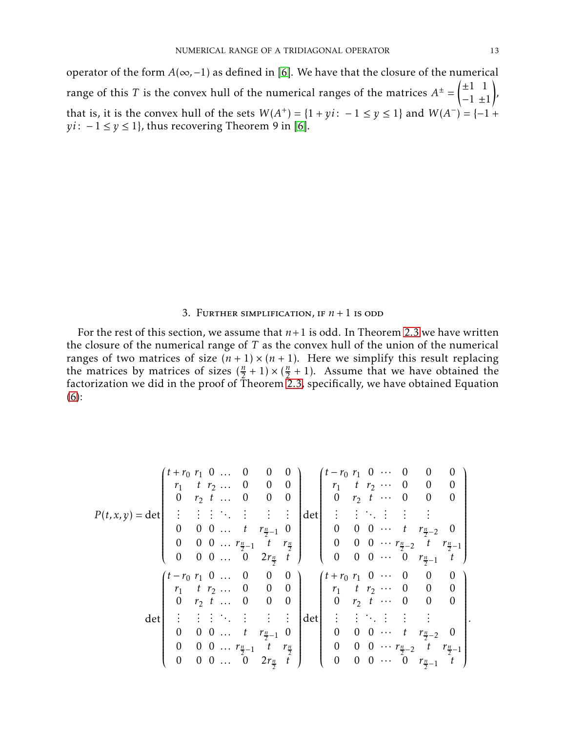operator of the form *A*(∞*,*−1) as defined in [\[6\]](#page-15-11). We have that the closure of the numerical range of this  $T$  is the convex hull of the numerical ranges of the matrices  $A^\pm$  =  $\left(\pm 1 \quad 1\right)$ −1 ±1 ! , that is, it is the convex hull of the sets  $W(A^+) = \{1 + yi: -1 \le y \le 1\}$  and  $W(A^-) = \{-1 +$ *yi* :  $-1 \le y \le 1$ , thus recovering Theorem 9 in [\[6\]](#page-15-11).

### 3. FURTHER SIMPLIFICATION, IF  $n + 1$  is odd

For the rest of this section, we assume that  $n+1$  is odd. In Theorem [2.3](#page-6-0) we have written the closure of the numerical range of *T* as the convex hull of the union of the numerical ranges of two matrices of size  $(n + 1) \times (n + 1)$ . Here we simplify this result replacing the matrices by matrices of sizes  $(\frac{n}{2} + 1) \times (\frac{n}{2})$  $\frac{n}{2}$  + 1). Assume that we have obtained the factorization we did in the proof of Theorem [2.3,](#page-6-0) specifically, we have obtained Equation [\(6\)](#page-9-0):

$$
P(t,x,y) = \det \begin{pmatrix} t+r_0 & r_1 & 0 & \dots & 0 & 0 & 0 \\ r_1 & t & r_2 & \dots & 0 & 0 & 0 \\ 0 & r_2 & t & \dots & 0 & 0 & 0 \\ \vdots & \vdots & \vdots & \ddots & \vdots & \vdots & \vdots \\ 0 & 0 & 0 & \dots & t & r_{\frac{n}{2}-1} & 0 \\ 0 & 0 & 0 & \dots & 0 & 2r_{\frac{n}{2}} & t \end{pmatrix} \det \begin{pmatrix} t-r_0 & r_1 & 0 & \dots & 0 & 0 & 0 \\ r_1 & t & r_2 & \dots & 0 & 0 & 0 \\ 0 & r_2 & t & \dots & 0 & 0 & 0 & 0 \\ \vdots & \vdots & \vdots & \ddots & \vdots & \vdots & \vdots \\ 0 & 0 & 0 & \dots & t & r_{\frac{n}{2}-2} & t & r_{\frac{n}{2}-1} \\ r_1 & t & r_2 & \dots & 0 & 0 & 0 \\ 0 & r_2 & t & \dots & 0 & 0 & 0 \\ \vdots & \vdots & \vdots & \ddots & \vdots & \vdots & \vdots \\ 0 & 0 & 0 & \dots & t & r_{\frac{n}{2}-1} & 0 \\ 0 & 0 & 0 & \dots & t & r_{\frac{n}{2}-1} & 0 \end{pmatrix} \det \begin{pmatrix} t-r_0 & r_1 & 0 & \dots & 0 & 0 & 0 \\ \vdots & \vdots & \ddots & \vdots & \vdots & \vdots & \vdots \\ r_1 & t & r_2 & \dots & 0 & 0 & 0 \\ r_1 & t & r_2 & \dots & 0 & 0 & 0 \\ 0 & r_2 & t & \dots & 0 & 0 & 0 \\ 0 & r_2 & t & \dots & 0 & 0 & 0 \\ 0 & 0 & 0 & \dots & t & r_{\frac{n}{2}-2} & 0 \\ 0 & 0 & 0 & \dots & t & r_{\frac{n}{2}-2} & t \end{pmatrix}.
$$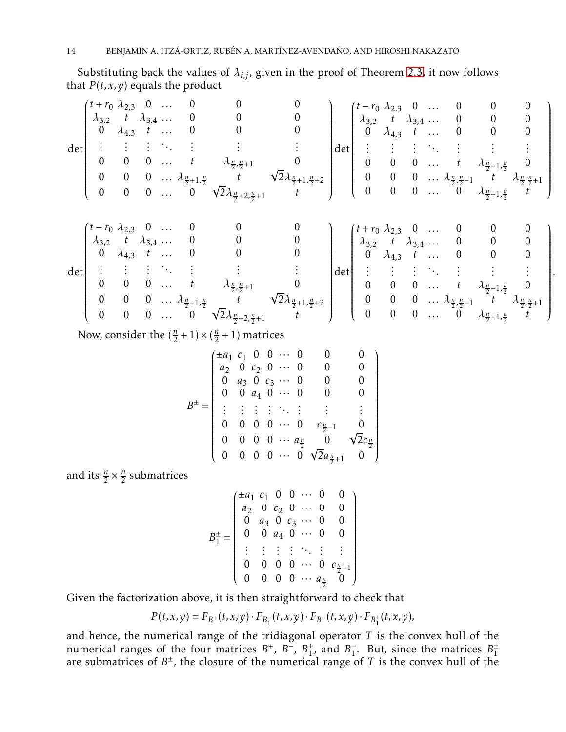Substituting back the values of  $\lambda_{i,j}$ , given in the proof of Theorem [2.3,](#page-6-0) it now follows that  $P(t, x, y)$  equals the product

$$
\det\begin{pmatrix} t+r_0 & \lambda_{2,3} & 0 & \dots & 0 & 0 & 0 & 0 \\ \lambda_{3,2} & t & \lambda_{3,4} & \dots & 0 & 0 & 0 & 0 \\ 0 & \lambda_{4,3} & t & \dots & 0 & 0 & 0 & 0 \\ \vdots & \vdots & \vdots & \ddots & \vdots & \vdots & \vdots & \vdots & \vdots \\ 0 & 0 & 0 & \dots & t & \lambda_{\frac{n}{2},\frac{n}{2}+1} & 0 \\ 0 & 0 & 0 & \dots & 0 & \sqrt{2}\lambda_{\frac{n}{2}+2,\frac{n}{2}+1} & t \end{pmatrix}\det\begin{pmatrix} t-r_0 & \lambda_{2,3} & 0 & \dots & 0 & 0 & 0 \\ \lambda_{3,2} & t & \lambda_{3,4} & \dots & 0 & 0 & 0 \\ \vdots & \vdots & \vdots & \ddots & \vdots & \vdots & \vdots \\ 0 & 0 & 0 & \dots & t & \lambda_{\frac{n}{2},\frac{n}{2}+1} & 0 \\ 0 & 0 & 0 & \dots & 0 & \lambda_{\frac{n}{2},\frac{n}{2}+1} & t \end{pmatrix}
$$
\n
$$
\det\begin{pmatrix} t-r_0 & \lambda_{2,3} & 0 & \dots & 0 & 0 & 0 \\ \vdots & \vdots & \vdots & \ddots & \vdots & \vdots & \vdots \\ \lambda_{3,2} & t & \lambda_{3,4} & \dots & 0 & 0 & 0 \\ 0 & \lambda_{4,3} & t & \dots & 0 & 0 & 0 \\ \vdots & \vdots & \vdots & \ddots & \vdots & \vdots & \vdots & \vdots & \vdots \\ 0 & 0 & 0 & \dots & t & \lambda_{\frac{n}{2},\frac{n}{2}+1} & 0 \\ 0 & 0 & 0 & \dots & t & \lambda_{\frac{n}{2},\frac{n}{2}+1} & 0 \end{pmatrix}\det\begin{pmatrix} t+r_0 & \lambda_{2,3} & 0 & \dots & 0 & 0 & 0 \\ \vdots & \vdots & \vdots & \ddots & \vdots & \vdots & \vdots \\ 0 & 0 & 0 & \dots & t & \lambda_{\frac{n}{2},\frac{n}{2}+1} & 0 \\ 0 & 0 & 0 & \dots & 0 & 0 & 0 \\ 0 & \lambda_{4,3} &
$$

$$
\begin{bmatrix}\n0 & 0 & 0 & \dots & t & \lambda_{\frac{n}{2},\frac{n}{2}+1} & 0 \\
0 & 0 & 0 & \dots & \lambda_{\frac{n}{2}+1,\frac{n}{2}} & t & \sqrt{2}\lambda_{\frac{n}{2}+1,\frac{n}{2}+2} \\
0 & 0 & 0 & \dots & 0 & \sqrt{2}\lambda_{\frac{n}{2}+2,\frac{n}{2}+1} & t\n\end{bmatrix}\n\begin{bmatrix}\n0 & 0 & 0 & \dots & t & \lambda_{\frac{n}{2},-\frac{n}{2}} & 0 \\
0 & 0 & 0 & \dots & \lambda_{\frac{n}{2},\frac{n}{2}-1} & t & \lambda_{\frac{n}{2},\frac{n}{2}+1} \\
0 & 0 & 0 & \dots & 0 & \lambda_{\frac{n}{2}+1,\frac{n}{2}} & t\n\end{bmatrix}
$$

*.*

Now, consider the  $(\frac{n}{2} + 1) \times (\frac{n}{2})$  $\frac{n}{2}$  + 1) matrices

$$
B^{\pm} = \begin{pmatrix} \pm a_1 & c_1 & 0 & 0 & \cdots & 0 & 0 & 0 \\ a_2 & 0 & c_2 & 0 & \cdots & 0 & 0 & 0 \\ 0 & a_3 & 0 & c_3 & \cdots & 0 & 0 & 0 \\ 0 & 0 & a_4 & 0 & \cdots & 0 & 0 & 0 \\ \vdots & \vdots & \vdots & \vdots & \ddots & \vdots & \vdots & \vdots \\ 0 & 0 & 0 & 0 & \cdots & 0 & c_{\frac{n}{2}-1} & 0 \\ 0 & 0 & 0 & 0 & \cdots & a_{\frac{n}{2}} & 0 & \sqrt{2}c_{\frac{n}{2}} \\ 0 & 0 & 0 & 0 & \cdots & 0 & \sqrt{2}a_{\frac{n}{2}+1} & 0 \end{pmatrix}
$$

and its  $\frac{n}{2} \times \frac{n}{2}$  $\frac{n}{2}$  submatrices

$$
B_1^{\pm} = \begin{pmatrix} \pm a_1 & c_1 & 0 & 0 & \cdots & 0 & 0 \\ a_2 & 0 & c_2 & 0 & \cdots & 0 & 0 \\ 0 & a_3 & 0 & c_3 & \cdots & 0 & 0 \\ 0 & 0 & a_4 & 0 & \cdots & 0 & 0 \\ \vdots & \vdots & \vdots & \vdots & \ddots & \vdots & \vdots \\ 0 & 0 & 0 & 0 & \cdots & 0 & c_{\frac{n}{2}-1} \\ 0 & 0 & 0 & 0 & \cdots & a_{\frac{n}{2}} & 0 \end{pmatrix}
$$

Given the factorization above, it is then straightforward to check that

$$
P(t, x, y) = F_{B^+}(t, x, y) \cdot F_{B_1^-}(t, x, y) \cdot F_{B^-}(t, x, y) \cdot F_{B_1^+}(t, x, y),
$$

and hence, the numerical range of the tridiagonal operator *T* is the convex hull of the numerical ranges of the four matrices  $B^+$ ,  $B^-$ ,  $B_1^+$  $_1^+$ , and  $B_1^-$ . But, since the matrices  $B_1^{\pm}$ are submatrices of  $B^\pm$ , the closure of the numerical range of  $T$  is the convex hull of the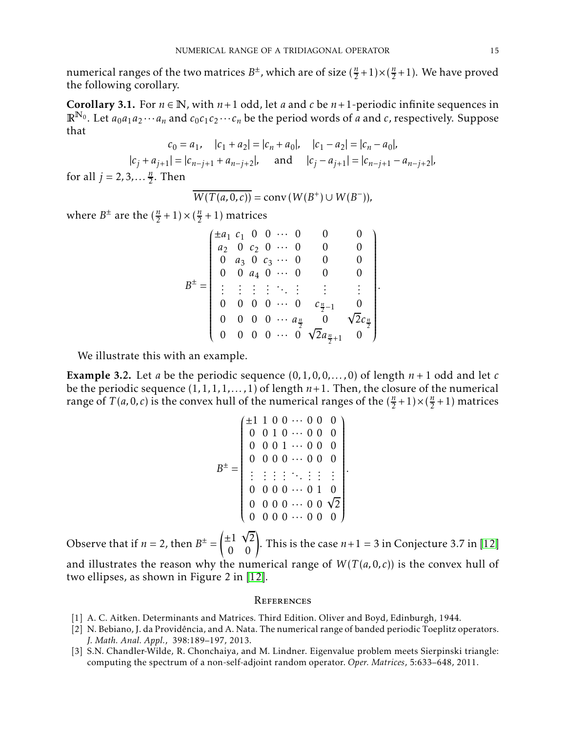numerical ranges of the two matrices  $B^{\pm}$ , which are of size  $(\frac{n}{2}+1) \times (\frac{n}{2})$  $\frac{n}{2}+1$ ). We have proved the following corollary.

Corollary 3.1. For  $n \in \mathbb{N}$ , with  $n+1$  odd, let *a* and *c* be  $n+1$ -periodic infinite sequences in  $\mathbb{R}^{N_0}$ . Let  $a_0a_1a_2\cdots a_n$  and  $c_0c_1c_2\cdots c_n$  be the period words of *a* and *c*, respectively. Suppose that

$$
c_0 = a_1, \quad |c_1 + a_2| = |c_n + a_0|, \quad |c_1 - a_2| = |c_n - a_0|,
$$
  

$$
|c_j + a_{j+1}| = |c_{n-j+1} + a_{n-j+2}|, \quad \text{and} \quad |c_j - a_{j+1}| = |c_{n-j+1} - a_{n-j+2}|,
$$

for all  $j = 2, 3, \dots \frac{n}{2}$  $\frac{n}{2}$ . Then

$$
\overline{W(T(a,0,c))} = \text{conv}\,(W(B^+) \cup W(B^-)),
$$

where  $B^{\pm}$  are the  $(\frac{n}{2} + 1) \times (\frac{n}{2})$  $\frac{n}{2}$  + 1) matrices

$$
B^{\pm} = \begin{pmatrix} \pm a_1 & c_1 & 0 & 0 & \cdots & 0 & 0 & 0 \\ a_2 & 0 & c_2 & 0 & \cdots & 0 & 0 & 0 \\ 0 & a_3 & 0 & c_3 & \cdots & 0 & 0 & 0 \\ 0 & 0 & a_4 & 0 & \cdots & 0 & 0 & 0 \\ \vdots & \vdots & \vdots & \vdots & \ddots & \vdots & \vdots & \vdots \\ 0 & 0 & 0 & 0 & \cdots & 0 & c_{\frac{n}{2}-1} & 0 \\ 0 & 0 & 0 & 0 & \cdots & a_{\frac{n}{2}} & 0 & \sqrt{2}c_{\frac{n}{2}} \\ 0 & 0 & 0 & 0 & \cdots & 0 & \sqrt{2}a_{\frac{n}{2}+1} & 0 \end{pmatrix}
$$

*.*

*.*

We illustrate this with an example.

**Example 3.2.** Let *a* be the periodic sequence  $(0,1,0,0,\ldots,0)$  of length  $n+1$  odd and let *c* be the periodic sequence  $(1,1,1,1,\ldots,1)$  of length  $n+1$ . Then, the closure of the numerical range of *T*(*a*, 0, *c*) is the convex hull of the numerical ranges of the  $(\frac{n}{2} + 1) \times (\frac{n}{2})$  $\frac{n}{2}+1$ ) matrices

$$
B^{\pm} = \begin{pmatrix} \pm 1 & 1 & 0 & 0 & \cdots & 0 & 0 & 0 \\ 0 & 0 & 1 & 0 & \cdots & 0 & 0 & 0 \\ 0 & 0 & 0 & 1 & \cdots & 0 & 0 & 0 \\ 0 & 0 & 0 & 0 & \cdots & 0 & 0 & 0 \\ \vdots & \vdots & \vdots & \vdots & \ddots & \vdots & \vdots & \vdots \\ 0 & 0 & 0 & 0 & \cdots & 0 & 1 & 0 \\ 0 & 0 & 0 & 0 & \cdots & 0 & 0 & \sqrt{2} \\ 0 & 0 & 0 & 0 & \cdots & 0 & 0 & 0 \end{pmatrix}
$$

Observe that if  $n = 2$ , then  $B^{\pm} =$  $\begin{pmatrix} \pm 1 & \sqrt{2} \\ 0 & 0 \end{pmatrix}$ . This is the case  $n+1 = 3$  in Conjecture 3.7 in [\[12\]](#page-15-6) and illustrates the reason why the numerical range of  $W(T(a,0,c))$  is the convex hull of two ellipses, as shown in Figure 2 in [\[12\]](#page-15-6).

#### **REFERENCES**

- <span id="page-14-1"></span><span id="page-14-0"></span>[1] A. C. Aitken. Determinants and Matrices. Third Edition. Oliver and Boyd, Edinburgh, 1944.
- [2] N. Bebiano, J. da Providência, and A. Nata. The numerical range of banded periodic Toeplitz operators. *J. Math. Anal. Appl.*, 398:189–197, 2013.
- [3] S.N. Chandler-Wilde, R. Chonchaiya, and M. Lindner. Eigenvalue problem meets Sierpinski triangle: computing the spectrum of a non-self-adjoint random operator. *Oper. Matrices*, 5:633–648, 2011.